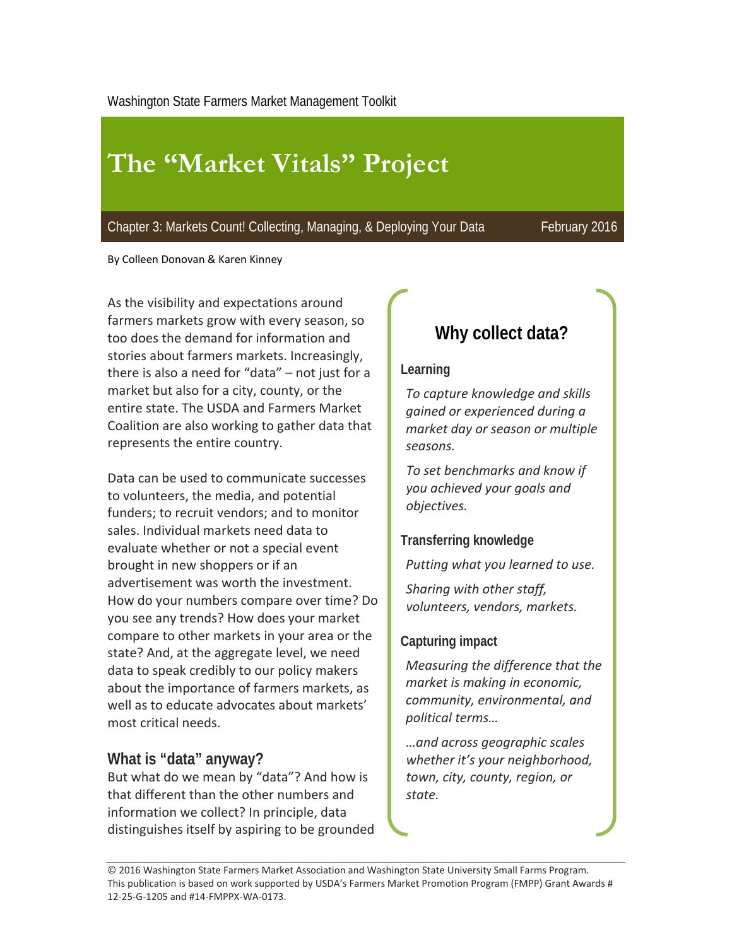# **The "Market Vitals" Project**

Chapter 3: Markets Count! Collecting, Managing, & Deploying Your Data February 2016

By Colleen Donovan & Karen Kinney

As the visibility and expectations around farmers markets grow with every season, so too does the demand for information and stories about farmers markets. Increasingly, there is also a need for "data" – not just for a market but also for a city, county, or the entire state. The USDA and Farmers Market Coalition are also working to gather data that represents the entire country.

Data can be used to communicate successes to volunteers, the media, and potential funders; to recruit vendors; and to monitor sales. Individual markets need data to evaluate whether or not a special event brought in new shoppers or if an advertisement was worth the investment. How do your numbers compare over time? Do you see any trends? How does your market compare to other markets in your area or the state? And, at the aggregate level, we need data to speak credibly to our policy makers about the importance of farmers markets, as well as to educate advocates about markets' most critical needs.

#### **What is "data" anyway?**

But what do we mean by "data"? And how is that different than the other numbers and information we collect? In principle, data distinguishes itself by aspiring to be grounded

### **Why collect data?**

#### **Learning**

*To capture knowledge and skills gained or experienced during a market day or season or multiple seasons.*

*To set benchmarks and know if you achieved your goals and objectives.*

#### **Transferring knowledge**

*Putting what you learned to use.*

*Sharing with other staff, volunteers, vendors, markets.*

#### **Capturing impact**

*Measuring the difference that the market is making in economic, community, environmental, and political terms…*

*…and across geographic scales whether it's your neighborhood, town, city, county, region, or state.*

© 2016 Washington State Farmers Market Association and Washington State University Small Farms Program. This publication is based on work supported by USDA's Farmers Market Promotion Program (FMPP) Grant Awards # 12‐25‐G‐1205 and #14‐FMPPX‐WA‐0173.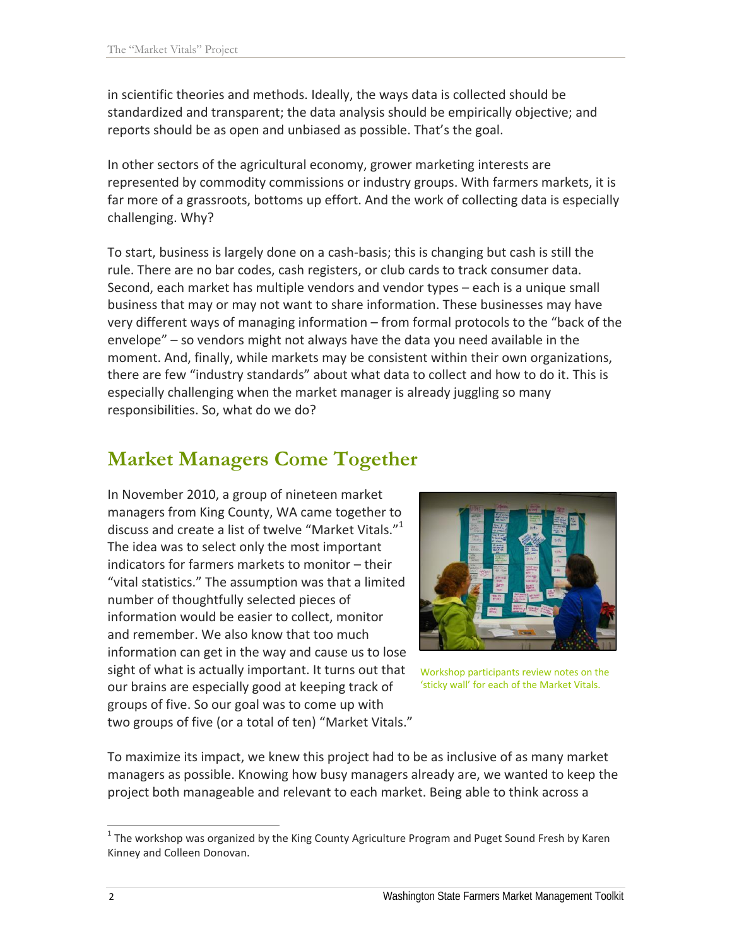in scientific theories and methods. Ideally, the ways data is collected should be standardized and transparent; the data analysis should be empirically objective; and reports should be as open and unbiased as possible. That's the goal.

In other sectors of the agricultural economy, grower marketing interests are represented by commodity commissions or industry groups. With farmers markets, it is far more of a grassroots, bottoms up effort. And the work of collecting data is especially challenging. Why?

To start, business is largely done on a cash‐basis; this is changing but cash is still the rule. There are no bar codes, cash registers, or club cards to track consumer data. Second, each market has multiple vendors and vendor types – each is a unique small business that may or may not want to share information. These businesses may have very different ways of managing information – from formal protocols to the "back of the envelope" – so vendors might not always have the data you need available in the moment. And, finally, while markets may be consistent within their own organizations, there are few "industry standards" about what data to collect and how to do it. This is especially challenging when the market manager is already juggling so many responsibilities. So, what do we do?

# **Market Managers Come Together**

In November 2010, a group of nineteen market managers from King County, WA came together to discuss and create a list of twelve "Market Vitals."<sup>1</sup> The idea was to select only the most important indicators for farmers markets to monitor – their "vital statistics." The assumption was that a limited number of thoughtfully selected pieces of information would be easier to collect, monitor and remember. We also know that too much information can get in the way and cause us to lose sight of what is actually important. It turns out that our brains are especially good at keeping track of groups of five. So our goal was to come up with two groups of five (or a total of ten) "Market Vitals."



Workshop participants review notes on the 'sticky wall' for each of the Market Vitals.

To maximize its impact, we knew this project had to be as inclusive of as many market managers as possible. Knowing how busy managers already are, we wanted to keep the project both manageable and relevant to each market. Being able to think across a

 $1$  The workshop was organized by the King County Agriculture Program and Puget Sound Fresh by Karen Kinney and Colleen Donovan.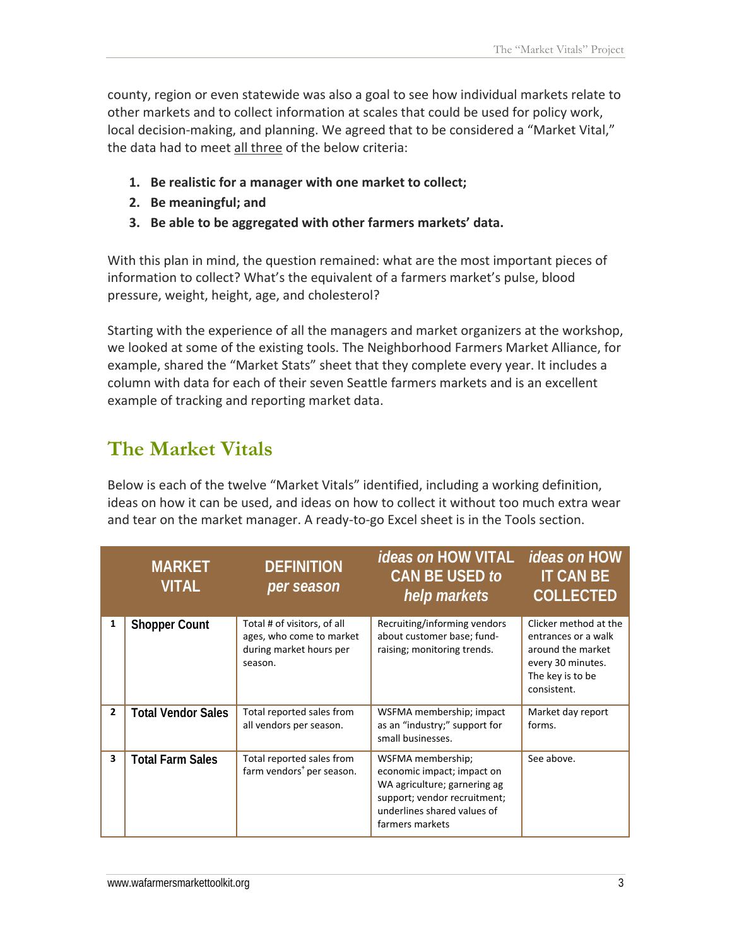county, region or even statewide was also a goal to see how individual markets relate to other markets and to collect information at scales that could be used for policy work, local decision‐making, and planning. We agreed that to be considered a "Market Vital," the data had to meet all three of the below criteria:

- **1. Be realistic for a manager with one market to collect;**
- **2. Be meaningful; and**
- **3. Be able to be aggregated with other farmers markets' data.**

With this plan in mind, the question remained: what are the most important pieces of information to collect? What's the equivalent of a farmers market's pulse, blood pressure, weight, height, age, and cholesterol?

Starting with the experience of all the managers and market organizers at the workshop, we looked at some of the existing tools. The Neighborhood Farmers Market Alliance, for example, shared the "Market Stats" sheet that they complete every year. It includes a column with data for each of their seven Seattle farmers markets and is an excellent example of tracking and reporting market data.

# **The Market Vitals**

Below is each of the twelve "Market Vitals" identified, including a working definition, ideas on how it can be used, and ideas on how to collect it without too much extra wear and tear on the market manager. A ready‐to‐go Excel sheet is in the Tools section.

|                         | <b>MARKET</b><br><b>VITAL</b> | <b>DEFINITION</b><br>per season                                                               | <i>ideas on</i> HOW VITAL<br>CAN BE USED to<br>help markets                                                                                                       | <i>ideas on</i> HOW<br><b>IT CAN BE</b><br><b>COLLECTED</b>                                                               |
|-------------------------|-------------------------------|-----------------------------------------------------------------------------------------------|-------------------------------------------------------------------------------------------------------------------------------------------------------------------|---------------------------------------------------------------------------------------------------------------------------|
| 1                       | <b>Shopper Count</b>          | Total # of visitors, of all<br>ages, who come to market<br>during market hours per<br>season. | Recruiting/informing vendors<br>about customer base; fund-<br>raising; monitoring trends.                                                                         | Clicker method at the<br>entrances or a walk<br>around the market<br>every 30 minutes.<br>The key is to be<br>consistent. |
| $\overline{2}$          | <b>Total Vendor Sales</b>     | Total reported sales from<br>all vendors per season.                                          | WSFMA membership; impact<br>as an "industry;" support for<br>small businesses.                                                                                    | Market day report<br>forms.                                                                                               |
| $\overline{\mathbf{3}}$ | <b>Total Farm Sales</b>       | Total reported sales from<br>farm vendors <sup>+</sup> per season.                            | WSFMA membership;<br>economic impact; impact on<br>WA agriculture; garnering ag<br>support; vendor recruitment;<br>underlines shared values of<br>farmers markets | See above.                                                                                                                |